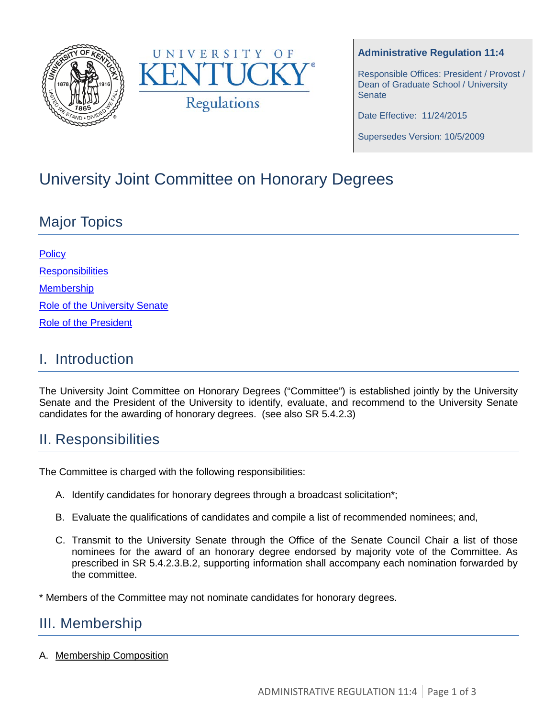



#### **Administrative Regulation 11:4**

Responsible Offices: President / Provost / Dean of Graduate School / University **Senate** 

Date Effective: 11/24/2015

Supersedes Version: 10/5/2009

# University Joint Committee on Honorary Degrees

## Major Topics

| <b>Policy</b>                        |
|--------------------------------------|
| <b>Responsibilities</b>              |
| <b>Membership</b>                    |
| <b>Role of the University Senate</b> |
| <b>Role of the President</b>         |

### I. Introduction

The University Joint Committee on Honorary Degrees ("Committee") is established jointly by the University Senate and the President of the University to identify, evaluate, and recommend to the University Senate candidates for the awarding of honorary degrees. (see also SR 5.4.2.3)

### II. Responsibilities

The Committee is charged with the following responsibilities:

- A. Identify candidates for honorary degrees through a broadcast solicitation\*;
- B. Evaluate the qualifications of candidates and compile a list of recommended nominees; and,
- C. Transmit to the University Senate through the Office of the Senate Council Chair a list of those nominees for the award of an honorary degree endorsed by majority vote of the Committee. As prescribed in SR 5.4.2.3.B.2, supporting information shall accompany each nomination forwarded by the committee.

\* Members of the Committee may not nominate candidates for honorary degrees.

### III. Membership

A. Membership Composition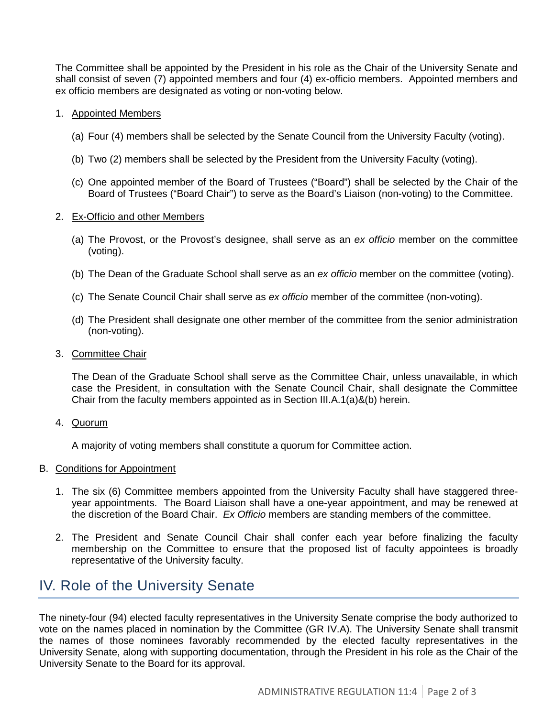The Committee shall be appointed by the President in his role as the Chair of the University Senate and shall consist of seven (7) appointed members and four (4) ex-officio members. Appointed members and ex officio members are designated as voting or non-voting below.

#### 1. Appointed Members

- (a) Four (4) members shall be selected by the Senate Council from the University Faculty (voting).
- (b) Two (2) members shall be selected by the President from the University Faculty (voting).
- (c) One appointed member of the Board of Trustees ("Board") shall be selected by the Chair of the Board of Trustees ("Board Chair") to serve as the Board's Liaison (non-voting) to the Committee.

#### 2. Ex-Officio and other Members

- (a) The Provost, or the Provost's designee, shall serve as an *ex officio* member on the committee (voting).
- (b) The Dean of the Graduate School shall serve as an *ex officio* member on the committee (voting).
- (c) The Senate Council Chair shall serve as *ex officio* member of the committee (non-voting).
- (d) The President shall designate one other member of the committee from the senior administration (non-voting).

#### 3. Committee Chair

The Dean of the Graduate School shall serve as the Committee Chair, unless unavailable, in which case the President, in consultation with the Senate Council Chair, shall designate the Committee Chair from the faculty members appointed as in Section III.A.1(a)&(b) herein.

4. Quorum

A majority of voting members shall constitute a quorum for Committee action.

#### B. Conditions for Appointment

- 1. The six (6) Committee members appointed from the University Faculty shall have staggered threeyear appointments. The Board Liaison shall have a one-year appointment, and may be renewed at the discretion of the Board Chair. *Ex Officio* members are standing members of the committee.
- 2. The President and Senate Council Chair shall confer each year before finalizing the faculty membership on the Committee to ensure that the proposed list of faculty appointees is broadly representative of the University faculty.

### IV. Role of the University Senate

The ninety-four (94) elected faculty representatives in the University Senate comprise the body authorized to vote on the names placed in nomination by the Committee (GR IV.A). The University Senate shall transmit the names of those nominees favorably recommended by the elected faculty representatives in the University Senate, along with supporting documentation, through the President in his role as the Chair of the University Senate to the Board for its approval.